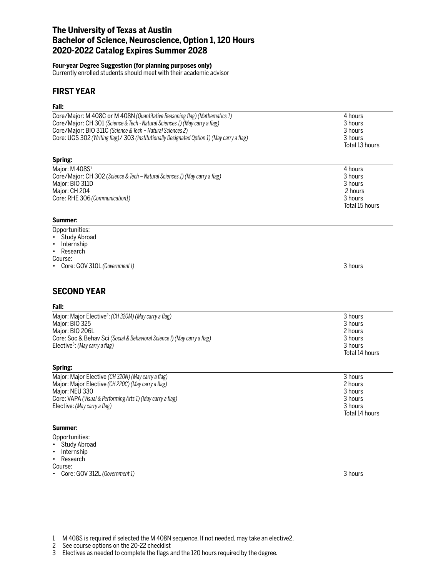# **The University of Texas at Austin Bachelor of Science, Neuroscience, Option 1, 120 Hours 2020-2022 Catalog Expires Summer 2028**

### **Four-year Degree Suggestion (for planning purposes only)**

Currently enrolled students should meet with their academic advisor

## **FIRST YEAR**

## **Fall:**

| ган.                                                                                                                                                                                                                                                                                                                             |                                                            |
|----------------------------------------------------------------------------------------------------------------------------------------------------------------------------------------------------------------------------------------------------------------------------------------------------------------------------------|------------------------------------------------------------|
| Core/Major: M 408C or M 408N (Quantitative Reasoning flag) (Mathematics 1)<br>Core/Major: CH 301 (Science & Tech - Natural Sciences 1) (May carry a flag)<br>Core/Major: BIO 311C (Science & Tech - Natural Sciences 2)<br>Core: UGS 302 (Writing flag)/ 303 (Institutionally Designated Option 1) (May carry a flag)<br>Spring: | 4 hours<br>3 hours<br>3 hours<br>3 hours<br>Total 13 hours |
| Major: M 408S1                                                                                                                                                                                                                                                                                                                   | 4 hours                                                    |
| Core/Major: CH 302 (Science & Tech - Natural Sciences 1) (May carry a flag)<br>Major: BIO 311D                                                                                                                                                                                                                                   | 3 hours<br>3 hours                                         |
| Major: CH 204                                                                                                                                                                                                                                                                                                                    | 2 hours                                                    |
| Core: RHE 306 (Communication1)                                                                                                                                                                                                                                                                                                   | 3 hours<br>Total 15 hours                                  |
| Summer:                                                                                                                                                                                                                                                                                                                          |                                                            |
| Opportunities:<br><b>Study Abroad</b>                                                                                                                                                                                                                                                                                            |                                                            |
| Internship<br>$\bullet$                                                                                                                                                                                                                                                                                                          |                                                            |
| Research                                                                                                                                                                                                                                                                                                                         |                                                            |
| Course:                                                                                                                                                                                                                                                                                                                          |                                                            |
| Core: GOV 310L (Government I)                                                                                                                                                                                                                                                                                                    | 3 hours                                                    |
| <b>SECOND YEAR</b>                                                                                                                                                                                                                                                                                                               |                                                            |
| Fall:                                                                                                                                                                                                                                                                                                                            |                                                            |
| Major: Major Elective <sup>2</sup> : (CH 320M) (May carry a flag)                                                                                                                                                                                                                                                                | 3 hours                                                    |
| Major: BIO 325                                                                                                                                                                                                                                                                                                                   | 3 hours                                                    |
| Major: BIO 206L<br>Core: Soc & Behav Sci (Social & Behavioral Science I) (May carry a flag)                                                                                                                                                                                                                                      | 2 hours<br>3 hours                                         |
| Elective <sup>3</sup> : (May carry a flag)                                                                                                                                                                                                                                                                                       | 3 hours                                                    |
|                                                                                                                                                                                                                                                                                                                                  | Total 14 hours                                             |
| Spring:                                                                                                                                                                                                                                                                                                                          |                                                            |
| Major: Major Elective (CH 320N) (May carry a flag)                                                                                                                                                                                                                                                                               | 3 hours                                                    |
| Major: Major Elective (CH 220C) (May carry a flag)<br>Major: NEU 330                                                                                                                                                                                                                                                             | 2 hours<br>3 hours                                         |
| Core: VAPA (Visual & Performing Arts 1) (May carry a flag)                                                                                                                                                                                                                                                                       | 3 hours                                                    |
| Elective: (May carry a flag)                                                                                                                                                                                                                                                                                                     | 3 hours                                                    |
|                                                                                                                                                                                                                                                                                                                                  | Total 14 hours                                             |
| Summer:                                                                                                                                                                                                                                                                                                                          |                                                            |
|                                                                                                                                                                                                                                                                                                                                  |                                                            |

- Opportunities:
- Study Abroad • Internship
- Research
- Course:
- Core: GOV 312L *(Government 1)* 3 hours

<sup>1</sup> M 408S is required if selected the M 408N sequence. If not needed, may take an elective2.

See course options on the 20-22 checklist

<sup>3</sup> Electives as needed to complete the flags and the 120 hours required by the degree.